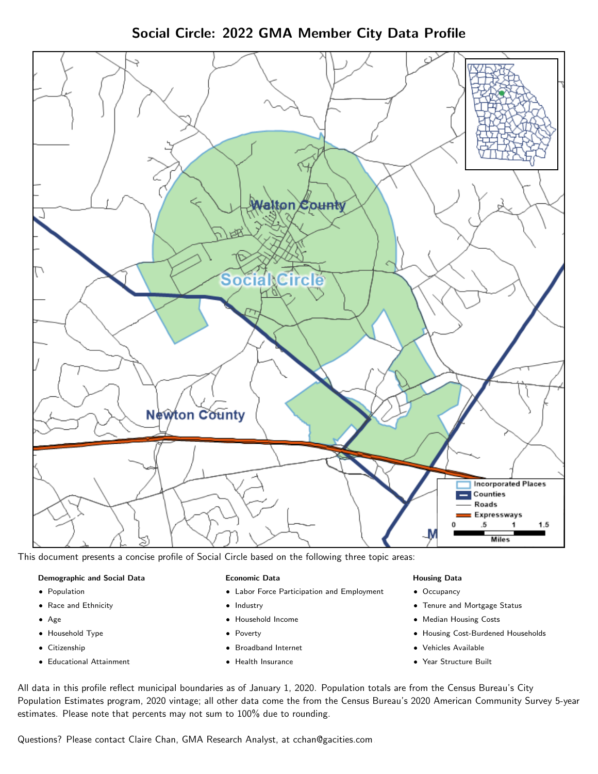Social Circle: 2022 GMA Member City Data Profile



This document presents a concise profile of Social Circle based on the following three topic areas:

#### Demographic and Social Data

- **•** Population
- Race and Ethnicity
- Age
- Household Type
- **Citizenship**
- Educational Attainment

#### Economic Data

- Labor Force Participation and Employment
- Industry
- Household Income
- Poverty
- Broadband Internet
- Health Insurance

#### Housing Data

- Occupancy
- Tenure and Mortgage Status
- Median Housing Costs
- Housing Cost-Burdened Households
- Vehicles Available
- Year Structure Built

All data in this profile reflect municipal boundaries as of January 1, 2020. Population totals are from the Census Bureau's City Population Estimates program, 2020 vintage; all other data come the from the Census Bureau's 2020 American Community Survey 5-year estimates. Please note that percents may not sum to 100% due to rounding.

Questions? Please contact Claire Chan, GMA Research Analyst, at [cchan@gacities.com.](mailto:cchan@gacities.com)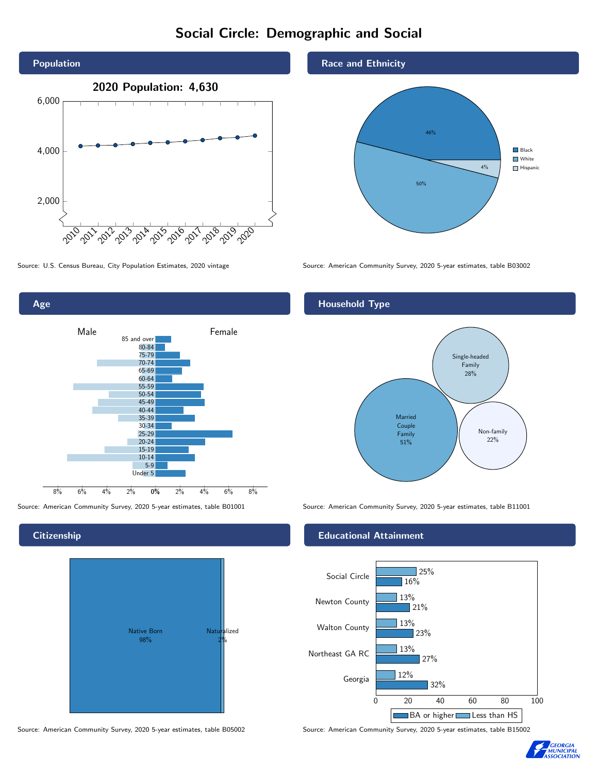# Social Circle: Demographic and Social



0% 2% 4% 6% 8% Male **Female** 8% 6% 4% 2% 85 and over 80-84 75-79 70-74 65-69 60-64 55-59 50-54 45-49 40-44 35-39 30-34 25-29 20-24 15-19 10-14 5-9 Under 5

**Citizenship** 

Age



Source: American Community Survey, 2020 5-year estimates, table B05002 Source: American Community Survey, 2020 5-year estimates, table B15002

## Race and Ethnicity



Source: U.S. Census Bureau, City Population Estimates, 2020 vintage Source: American Community Survey, 2020 5-year estimates, table B03002

# Household Type



Source: American Community Survey, 2020 5-year estimates, table B01001 Source: American Community Survey, 2020 5-year estimates, table B11001

#### Educational Attainment



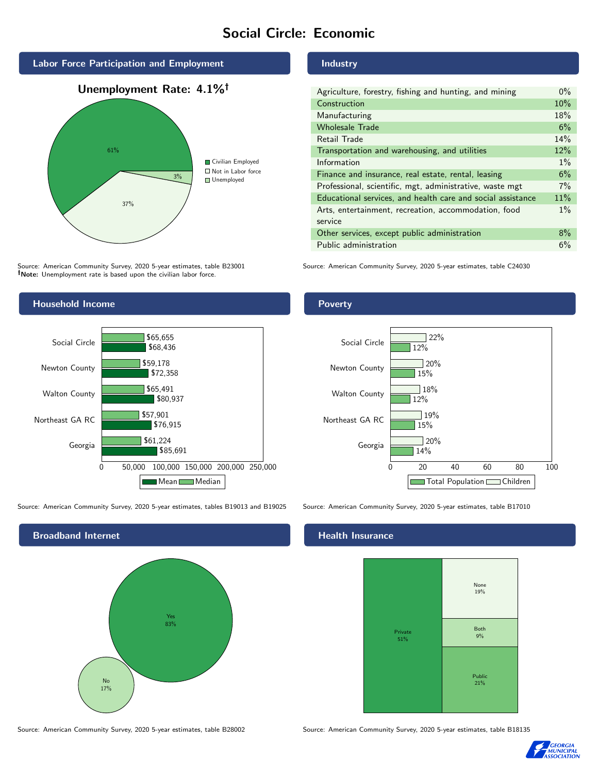# Social Circle: Economic



Source: American Community Survey, 2020 5-year estimates, table B23001 Note: Unemployment rate is based upon the civilian labor force.

### Industry

| Agriculture, forestry, fishing and hunting, and mining      | $0\%$ |
|-------------------------------------------------------------|-------|
| Construction                                                | 10%   |
| Manufacturing                                               | 18%   |
| <b>Wholesale Trade</b>                                      | 6%    |
| Retail Trade                                                | 14%   |
| Transportation and warehousing, and utilities               | 12%   |
| Information                                                 | $1\%$ |
| Finance and insurance, real estate, rental, leasing         | 6%    |
| Professional, scientific, mgt, administrative, waste mgt    | 7%    |
| Educational services, and health care and social assistance | 11%   |
| Arts, entertainment, recreation, accommodation, food        | $1\%$ |
| service                                                     |       |
| Other services, except public administration                | $8\%$ |
| Public administration                                       | 6%    |

Source: American Community Survey, 2020 5-year estimates, table C24030



Source: American Community Survey, 2020 5-year estimates, tables B19013 and B19025 Source: American Community Survey, 2020 5-year estimates, table B17010



Source: American Community Survey, 2020 5-year estimates, table B28002 Source: American Community Survey, 2020 5-year estimates, table B18135

#### Health Insurance